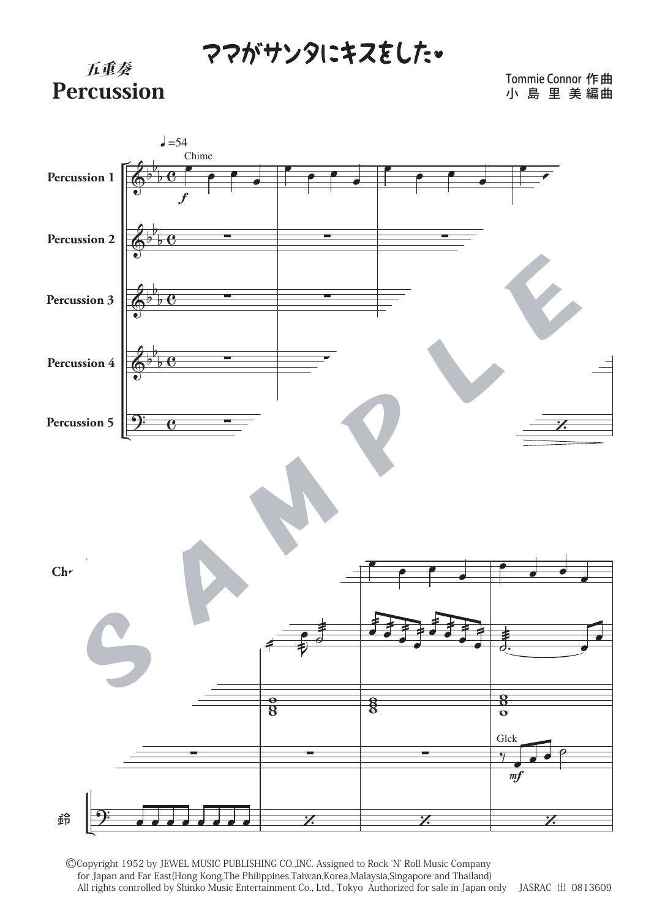## ママがサンタにキスをした。



Tommie Connor 作 曲 小 島 里 美 編曲



©Copyright 1952 by JEWEL MUSIC PUBLISHING CO.,INC. Assigned to Rock ʻN' Roll Music Company for Japan and Far East(Hong Kong,The Philippines,Taiwan,Korea,Malaysia,Singapore and Thailand) All rights controlled by Shinko Music Entertainment Co., Ltd., Tokyo Authorized for sale in Japan only JASRAC 出 0813609